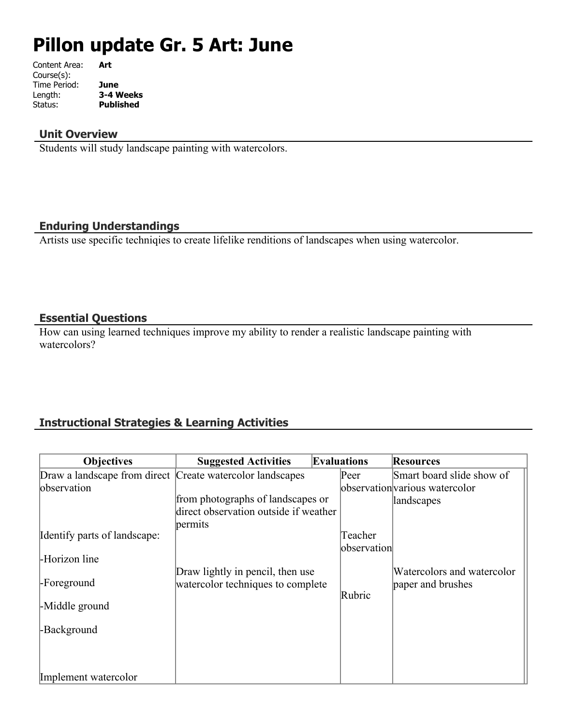# **Pillon update Gr. 5 Art: June**

| Content Area: | Art       |
|---------------|-----------|
| Course(s):    |           |
| Time Period:  | June      |
| Length:       | 3-4 Weeks |
| Status:       | Published |
|               |           |

#### **Unit Overview**

Students will study landscape painting with watercolors.

## **Enduring Understandings**

Artists use specific techniqies to create lifelike renditions of landscapes when using watercolor.

#### **Essential Questions**

How can using learned techniques improve my ability to render a realistic landscape painting with watercolors?

## **Instructional Strategies & Learning Activities**

| <b>Objectives</b>                                         | <b>Suggested Activities</b>           | <b>Evaluations</b> | <b>Resources</b>               |
|-----------------------------------------------------------|---------------------------------------|--------------------|--------------------------------|
| Draw a landscape from direct Create watercolor landscapes |                                       | Peer               | Smart board slide show of      |
| observation                                               |                                       |                    | observation various watercolor |
|                                                           | from photographs of landscapes or     |                    | landscapes                     |
|                                                           | direct observation outside if weather |                    |                                |
|                                                           | permits                               |                    |                                |
| Identify parts of landscape:                              |                                       | Teacher            |                                |
|                                                           |                                       | observation        |                                |
| -Horizon line                                             |                                       |                    |                                |
| -Foreground                                               | Draw lightly in pencil, then use      |                    | Watercolors and watercolor     |
|                                                           | watercolor techniques to complete     | Rubric             | paper and brushes              |
| -Middle ground                                            |                                       |                    |                                |
|                                                           |                                       |                    |                                |
| -Background                                               |                                       |                    |                                |
|                                                           |                                       |                    |                                |
|                                                           |                                       |                    |                                |
|                                                           |                                       |                    |                                |
| Implement watercolor                                      |                                       |                    |                                |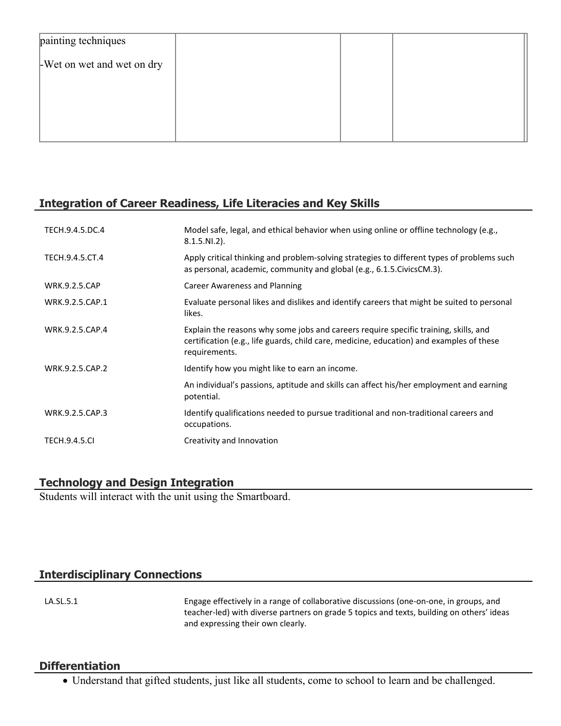| painting techniques        |  |  |
|----------------------------|--|--|
| -Wet on wet and wet on dry |  |  |
|                            |  |  |
|                            |  |  |
|                            |  |  |

## **Integration of Career Readiness, Life Literacies and Key Skills**

| TECH.9.4.5.DC.4      | Model safe, legal, and ethical behavior when using online or offline technology (e.g.,<br>$8.1.5.NI.2$ ).                                                                                         |
|----------------------|---------------------------------------------------------------------------------------------------------------------------------------------------------------------------------------------------|
| TECH.9.4.5.CT.4      | Apply critical thinking and problem-solving strategies to different types of problems such<br>as personal, academic, community and global (e.g., 6.1.5. Civics CM.3).                             |
| <b>WRK.9.2.5.CAP</b> | <b>Career Awareness and Planning</b>                                                                                                                                                              |
| WRK.9.2.5.CAP.1      | Evaluate personal likes and dislikes and identify careers that might be suited to personal<br>likes.                                                                                              |
| WRK.9.2.5.CAP.4      | Explain the reasons why some jobs and careers require specific training, skills, and<br>certification (e.g., life guards, child care, medicine, education) and examples of these<br>requirements. |
| WRK.9.2.5.CAP.2      | Identify how you might like to earn an income.                                                                                                                                                    |
|                      | An individual's passions, aptitude and skills can affect his/her employment and earning<br>potential.                                                                                             |
| WRK.9.2.5.CAP.3      | Identify qualifications needed to pursue traditional and non-traditional careers and<br>occupations.                                                                                              |
| <b>TECH.9.4.5.CI</b> | Creativity and Innovation                                                                                                                                                                         |

## **Technology and Design Integration**

Students will interact with the unit using the Smartboard.

## **Interdisciplinary Connections**

LA.SL.5.1 Engage effectively in a range of collaborative discussions (one-on-one, in groups, and teacher-led) with diverse partners on grade 5 topics and texts, building on others' ideas and expressing their own clearly.

#### **Differentiation**

Understand that gifted students, just like all students, come to school to learn and be challenged.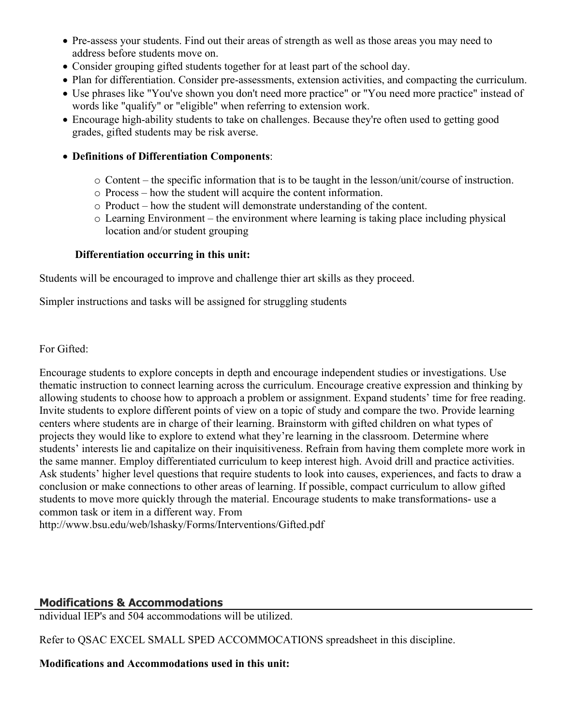- Pre-assess your students. Find out their areas of strength as well as those areas you may need to address before students move on.
- Consider grouping gifted students together for at least part of the school day.
- Plan for differentiation. Consider pre-assessments, extension activities, and compacting the curriculum.
- Use phrases like "You've shown you don't need more practice" or "You need more practice" instead of words like "qualify" or "eligible" when referring to extension work.
- Encourage high-ability students to take on challenges. Because they're often used to getting good grades, gifted students may be risk averse.

#### **Definitions of Differentiation Components**:

- o Content the specific information that is to be taught in the lesson/unit/course of instruction.
- o Process how the student will acquire the content information.
- o Product how the student will demonstrate understanding of the content.
- o Learning Environment the environment where learning is taking place including physical location and/or student grouping

#### **Differentiation occurring in this unit:**

Students will be encouraged to improve and challenge thier art skills as they proceed.

Simpler instructions and tasks will be assigned for struggling students

For Gifted:

Encourage students to explore concepts in depth and encourage independent studies or investigations. Use thematic instruction to connect learning across the curriculum. Encourage creative expression and thinking by allowing students to choose how to approach a problem or assignment. Expand students' time for free reading. Invite students to explore different points of view on a topic of study and compare the two. Provide learning centers where students are in charge of their learning. Brainstorm with gifted children on what types of projects they would like to explore to extend what they're learning in the classroom. Determine where students' interests lie and capitalize on their inquisitiveness. Refrain from having them complete more work in the same manner. Employ differentiated curriculum to keep interest high. Avoid drill and practice activities. Ask students' higher level questions that require students to look into causes, experiences, and facts to draw a conclusion or make connections to other areas of learning. If possible, compact curriculum to allow gifted students to move more quickly through the material. Encourage students to make transformations- use a common task or item in a different way. From

http://www.bsu.edu/web/lshasky/Forms/Interventions/Gifted.pdf

## **Modifications & Accommodations**

ndividual IEP's and 504 accommodations will be utilized.

Refer to QSAC EXCEL SMALL SPED ACCOMMOCATIONS spreadsheet in this discipline.

## **Modifications and Accommodations used in this unit:**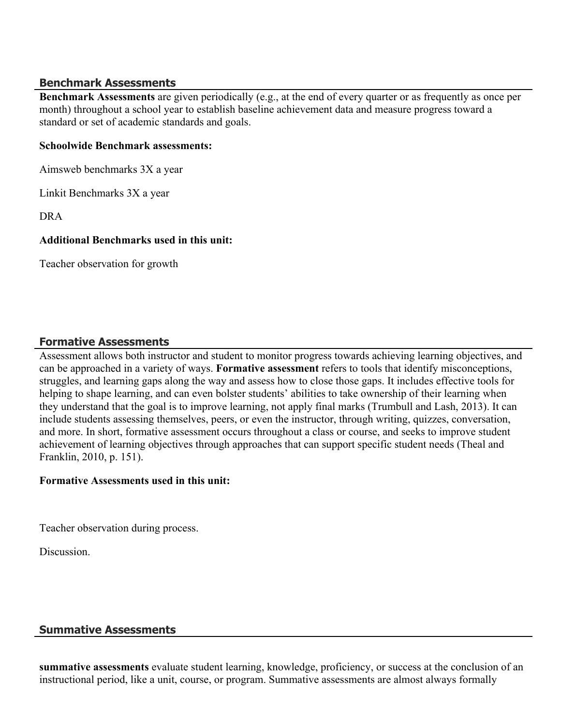#### **Benchmark Assessments**

**Benchmark Assessments** are given periodically (e.g., at the end of every quarter or as frequently as once per month) throughout a school year to establish baseline achievement data and measure progress toward a standard or set of academic standards and goals.

#### **Schoolwide Benchmark assessments:**

Aimsweb benchmarks 3X a year

Linkit Benchmarks 3X a year

DRA

#### **Additional Benchmarks used in this unit:**

Teacher observation for growth

#### **Formative Assessments**

Assessment allows both instructor and student to monitor progress towards achieving learning objectives, and can be approached in a variety of ways. **Formative assessment** refers to tools that identify misconceptions, struggles, and learning gaps along the way and assess how to close those gaps. It includes effective tools for helping to shape learning, and can even bolster students' abilities to take ownership of their learning when they understand that the goal is to improve learning, not apply final marks (Trumbull and Lash, 2013). It can include students assessing themselves, peers, or even the instructor, through writing, quizzes, conversation, and more. In short, formative assessment occurs throughout a class or course, and seeks to improve student achievement of learning objectives through approaches that can support specific student needs (Theal and Franklin, 2010, p. 151).

#### **Formative Assessments used in this unit:**

Teacher observation during process.

Discussion.

## **Summative Assessments**

**summative assessments** evaluate student learning, knowledge, proficiency, or success at the conclusion of an instructional period, like a unit, course, or program. Summative assessments are almost always formally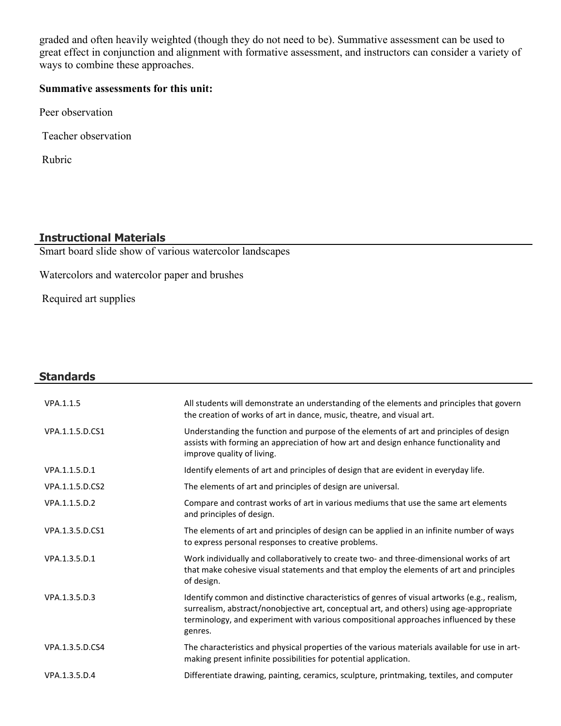graded and often heavily weighted (though they do not need to be). Summative assessment can be used to great effect in conjunction and alignment with formative assessment, and instructors can consider a variety of ways to combine these approaches.

## **Summative assessments for this unit:**

Peer observation

Teacher observation

Rubric

## **Instructional Materials**

Smart board slide show of various watercolor landscapes

Watercolors and watercolor paper and brushes

Required art supplies

| <b>Standards</b> |                                                                                                                                                                                                                                                                                              |
|------------------|----------------------------------------------------------------------------------------------------------------------------------------------------------------------------------------------------------------------------------------------------------------------------------------------|
| VPA.1.1.5        | All students will demonstrate an understanding of the elements and principles that govern<br>the creation of works of art in dance, music, theatre, and visual art.                                                                                                                          |
| VPA.1.1.5.D.CS1  | Understanding the function and purpose of the elements of art and principles of design<br>assists with forming an appreciation of how art and design enhance functionality and<br>improve quality of living.                                                                                 |
| VPA.1.1.5.D.1    | Identify elements of art and principles of design that are evident in everyday life.                                                                                                                                                                                                         |
| VPA.1.1.5.D.CS2  | The elements of art and principles of design are universal.                                                                                                                                                                                                                                  |
| VPA.1.1.5.D.2    | Compare and contrast works of art in various mediums that use the same art elements<br>and principles of design.                                                                                                                                                                             |
| VPA.1.3.5.D.CS1  | The elements of art and principles of design can be applied in an infinite number of ways<br>to express personal responses to creative problems.                                                                                                                                             |
| VPA.1.3.5.D.1    | Work individually and collaboratively to create two- and three-dimensional works of art<br>that make cohesive visual statements and that employ the elements of art and principles<br>of design.                                                                                             |
| VPA.1.3.5.D.3    | Identify common and distinctive characteristics of genres of visual artworks (e.g., realism,<br>surrealism, abstract/nonobjective art, conceptual art, and others) using age-appropriate<br>terminology, and experiment with various compositional approaches influenced by these<br>genres. |
| VPA.1.3.5.D.CS4  | The characteristics and physical properties of the various materials available for use in art-<br>making present infinite possibilities for potential application.                                                                                                                           |
| VPA.1.3.5.D.4    | Differentiate drawing, painting, ceramics, sculpture, printmaking, textiles, and computer                                                                                                                                                                                                    |